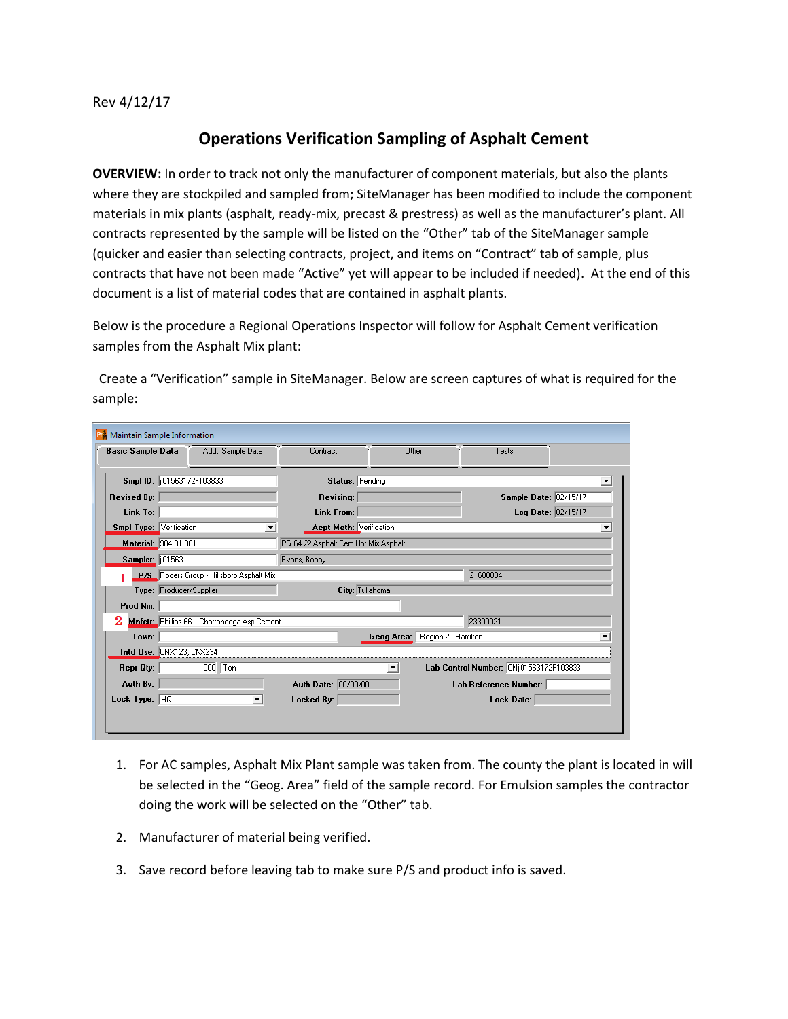Rev 4/12/17

## **Operations Verification Sampling of Asphalt Cement**

**OVERVIEW:** In order to track not only the manufacturer of component materials, but also the plants where they are stockpiled and sampled from; SiteManager has been modified to include the component materials in mix plants (asphalt, ready-mix, precast & prestress) as well as the manufacturer's plant. All contracts represented by the sample will be listed on the "Other" tab of the SiteManager sample (quicker and easier than selecting contracts, project, and items on "Contract" tab of sample, plus contracts that have not been made "Active" yet will appear to be included if needed). At the end of this document is a list of material codes that are contained in asphalt plants.

Below is the procedure a Regional Operations Inspector will follow for Asphalt Cement verification samples from the Asphalt Mix plant:

 Create a "Verification" sample in SiteManager. Below are screen captures of what is required for the sample:

| <b>Basic Sample Data</b>                     | Addtl Sample Data                         | Contract                             | Other                             | Tests                                   |                      |
|----------------------------------------------|-------------------------------------------|--------------------------------------|-----------------------------------|-----------------------------------------|----------------------|
| Smpl ID: 01563172F103833                     |                                           | Status: Pending                      |                                   |                                         |                      |
| <b>Revised By:</b>                           |                                           | Revising:                            |                                   | Sample Date: 02/15/17                   |                      |
| Link To:                                     |                                           | Link From:                           |                                   | Log Date: 02/15/17                      |                      |
| <b>Smpl Type: Verification</b>               | $\blacktriangledown$                      | <b>Acpt Meth: Verification</b>       |                                   |                                         | $\blacktriangledown$ |
| Material: 904.01.001                         |                                           | PG 64 22 Asphalt Cem Hot Mix Asphalt |                                   |                                         |                      |
| Sampler: 101563                              |                                           | Evans, Bobby                         |                                   |                                         |                      |
|                                              | P/S: Rogers Group - Hillsboro Asphalt Mix |                                      |                                   | 21600004                                |                      |
| Type: Producer/Supplier                      |                                           | City: Tullahoma                      |                                   |                                         |                      |
| Prod Nm:                                     |                                           |                                      |                                   |                                         |                      |
| Mnfctr: Phillips 66 - Chattanooga Asp Cement |                                           | 23300021                             |                                   |                                         |                      |
| Town:                                        |                                           |                                      | Region 2 - Hamilton<br>Geog Area: |                                         |                      |
| Intd Use: CNX123, CNX234                     |                                           |                                      |                                   |                                         |                      |
| Repr Qty:                                    | $.000$ Ton                                |                                      | ▼                                 | Lab Control Number: CNij01563172F103833 |                      |
| Auth By:                                     |                                           | Auth Date: 00/00/00                  |                                   | Lab Reference Number:                   |                      |
| Lock Type: HQ                                | $\overline{\phantom{0}}$                  | Locked By:                           |                                   | Lock Date:                              |                      |

- 1. For AC samples, Asphalt Mix Plant sample was taken from. The county the plant is located in will be selected in the "Geog. Area" field of the sample record. For Emulsion samples the contractor doing the work will be selected on the "Other" tab.
- 2. Manufacturer of material being verified.
- 3. Save record before leaving tab to make sure P/S and product info is saved.